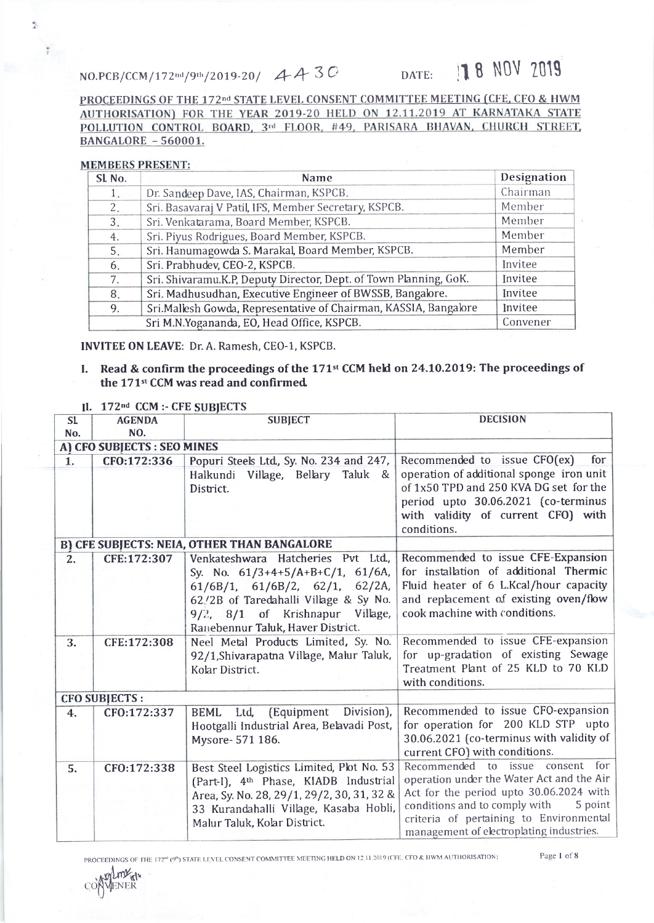## NO.PCB/CCM/172nd/9th/2019-20/ 4430

## DATE: 18 NOV 2019

PROCEEDINGS OF THE 172<sup>nd</sup> STATE LEVEL CONSENT COMMITTEE MEETING (CFE, CFO & HWM AUTHORISATION) FOR THE YEAR 2019-20 HELD ON 12.11.2019 AT KARNATAKA STATE POLLUTION CONTROL BOARD, 3rd FLOOR, #49, PARISARA BHAVAN, CHURCH STREET, **BANGALORE - 560001.** 

## **MEMBERS PRESENT:**

Ŷ.

 $\frac{a}{2}$ 

| SL <sub>No.</sub> | <b>Name</b>                                                       | Designation |  |  |
|-------------------|-------------------------------------------------------------------|-------------|--|--|
| 1.                | Dr. Sandeep Dave, IAS, Chairman, KSPCB.                           |             |  |  |
| 2.                | Sri. Basavaraj V Patil, IFS, Member Secretary, KSPCB.             |             |  |  |
| 3.                | Sri. Venkatarama, Board Member, KSPCB.                            |             |  |  |
| 4.                | Sri. Piyus Rodrigues, Board Member, KSPCB.                        | Member      |  |  |
| 5.                | Sri. Hanumagowda S. Marakal, Board Member, KSPCB.                 | Member      |  |  |
| 6.                | Sri. Prabhudev, CEO-2, KSPCB.                                     | Invitee     |  |  |
| 7.                | Sri. Shivaramu.K.P, Deputy Director, Dept. of Town Planning, GoK. | Invitee     |  |  |
| 8.                | Sri. Madhusudhan, Executive Engineer of BWSSB, Bangalore.         | Invitee     |  |  |
| 9.                | Sri.Mallesh Gowda, Representative of Chairman, KASSIA, Bangalore  | Invitee     |  |  |
|                   | Sri M.N.Yogananda, EO, Head Office, KSPCB.                        | Convener    |  |  |

INVITEE ON LEAVE: Dr. A. Ramesh, CEO-1, KSPCB.

Read & confirm the proceedings of the 171<sup>st</sup> CCM held on 24.10.2019: The proceedings of  $\mathbf{L}$ the 171<sup>st</sup> CCM was read and confirmed.

| II. $172nd$ CCM :- CFE SUBJECTS |  |
|---------------------------------|--|
|---------------------------------|--|

| SL. | <b>AGENDA</b><br>NO.               | <b>SUBJECT</b>                                                                                                                                                                                                                        | <b>DECISION</b>                                                                                                                                                                                                                                             |  |
|-----|------------------------------------|---------------------------------------------------------------------------------------------------------------------------------------------------------------------------------------------------------------------------------------|-------------------------------------------------------------------------------------------------------------------------------------------------------------------------------------------------------------------------------------------------------------|--|
|     | No.<br>A) CFO SUBJECTS : SEO MINES |                                                                                                                                                                                                                                       |                                                                                                                                                                                                                                                             |  |
| 1.  | CFO:172:336                        | Popuri Steels Ltd., Sy. No. 234 and 247,                                                                                                                                                                                              | Recommended to issue CFO(ex)<br>for                                                                                                                                                                                                                         |  |
|     |                                    | Halkundi Village, Bellary Taluk &<br>District.                                                                                                                                                                                        | operation of additional sponge iron unit<br>of 1x50 TPD and 250 KVA DG set for the<br>period upto 30.06.2021 (co-terminus<br>with validity of current CFO) with<br>conditions.                                                                              |  |
|     |                                    | <b>B) CFE SUBJECTS: NEIA, OTHER THAN BANGALORE</b>                                                                                                                                                                                    |                                                                                                                                                                                                                                                             |  |
| 2.  | CFE:172:307                        | Venkateshwara Hatcheries Pvt Ltd.<br>Sy. No. 61/3+4+5/A+B+C/1, 61/6A,<br>$61/6B/1$ , $61/6B/2$ , $62/1$ , $62/2A$ ,<br>62./2B of Taredahalli Village & Sy No.<br>9/2, 8/1 of Krishnapur Village,<br>Ranebennur Taluk, Haver District. | Recommended to issue CFE-Expansion<br>for installation of additional Thermic<br>Fluid heater of 6 L.Kcal/hour capacity<br>and replacement of existing oven/flow<br>cook machine with conditions.                                                            |  |
| 3.  | CFE:172:308                        | Neel Metal Products Limited, Sy. No.<br>92/1, Shivarapatna Village, Malur Taluk,<br>Kolar District.                                                                                                                                   | Recommended to issue CFE-expansion<br>for up-gradation of existing Sewage<br>Treatment Plant of 25 KLD to 70 KLD<br>with conditions.                                                                                                                        |  |
|     | <b>CFO SUBJECTS:</b>               |                                                                                                                                                                                                                                       |                                                                                                                                                                                                                                                             |  |
| 4.  | CF0:172:337                        | Division),<br>(Equipment<br><b>BEML</b><br>Ltd.<br>Hootgalli Industrial Area, Belavadi Post,<br>Mysore- 571 186.                                                                                                                      | Recommended to issue CFO-expansion<br>for operation for 200 KLD STP upto<br>30.06.2021 (co-terminus with validity of<br>current CFO) with conditions.                                                                                                       |  |
| 5.  | CFO:172:338                        | Best Steel Logistics Limited, Plot No. 53<br>(Part-I), 4th Phase, KIADB Industrial<br>Area, Sy. No. 28, 29/1, 29/2, 30, 31, 32 &<br>33 Kurandahalli Village, Kasaba Hobli,<br>Malur Taluk, Kolar District.                            | Recommended to issue consent for<br>operation under the Water Act and the Air<br>Act for the period upto 30.06.2024 with<br>conditions and to comply with<br>5 point<br>criteria of pertaining to Environmental<br>management of electroplating industries. |  |

PROCEEDINGS OF THE 172<sup>nd</sup> (9<sup>th</sup>) STATE LEVEL CONSENT COMMITTEE MEETING HELD ON 12 11 2019 (CFE, CFO & HWM AUTHORISATION;

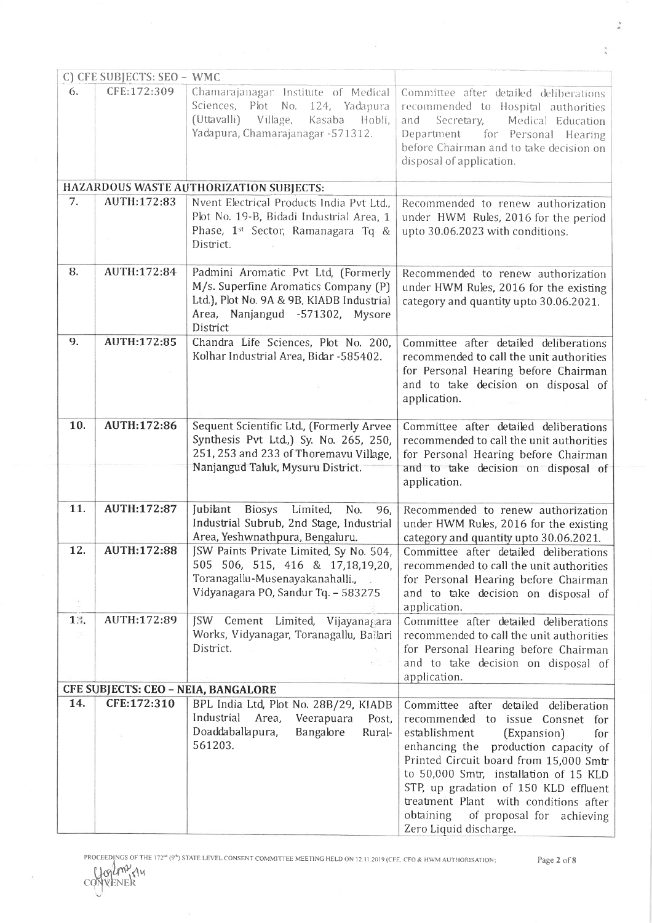|                                     | C) CFE SUBJECTS: SEO - WMC |                                                                                                                                                                         |                                                                                                                                                                                                                                                                                                                                                                                                             |  |
|-------------------------------------|----------------------------|-------------------------------------------------------------------------------------------------------------------------------------------------------------------------|-------------------------------------------------------------------------------------------------------------------------------------------------------------------------------------------------------------------------------------------------------------------------------------------------------------------------------------------------------------------------------------------------------------|--|
| 6.                                  | CFE:172:309                | Chamarajanagar Institute of Medical<br>Sciences, Plot No. 124, Yadapura<br>(Uttavalli) Village,<br>Kasaba<br>Hobli,<br>Yadapura, Chamarajanagar - 571312.               | Committee after detailed deliberations<br>recommended to Hospital authorities<br>and<br>Secretary,<br>Medical Education<br>Department<br>for Personal Hearing<br>before Chairman and to take decision on<br>disposal of application.                                                                                                                                                                        |  |
|                                     |                            | HAZARDOUS WASTE AUTHORIZATION SUBJECTS:                                                                                                                                 |                                                                                                                                                                                                                                                                                                                                                                                                             |  |
| 7.                                  | AUTH:172:83                | Nvent Electrical Products India Pvt Ltd.,<br>Plot No. 19-B, Bidadi Industrial Area, 1<br>Phase, 1st Sector, Ramanagara Tq &<br>District.                                | Recommended to renew authorization<br>under HWM Rules, 2016 for the period<br>upto 30.06.2023 with conditions.                                                                                                                                                                                                                                                                                              |  |
| 8.                                  | AUTH:172:84                | Padmini Aromatic Pvt Ltd, (Formerly<br>M/s. Superfine Aromatics Company (P)<br>Ltd.), Plot No. 9A & 9B, KIADB Industrial<br>Area, Nanjangud -571302, Mysore<br>District | Recommended to renew authorization<br>under HWM Rules, 2016 for the existing<br>category and quantity upto 30.06.2021.                                                                                                                                                                                                                                                                                      |  |
| 9.                                  | <b>AUTH:172:85</b>         | Chandra Life Sciences, Plot No. 200,<br>Kolhar Industrial Area, Bidar -585402.                                                                                          | Committee after detailed deliberations<br>recommended to call the unit authorities<br>for Personal Hearing before Chairman<br>and to take decision on disposal of<br>application.                                                                                                                                                                                                                           |  |
| 10.                                 | AUTH:172:86                | Sequent Scientific Ltd., (Formerly Arvee<br>Synthesis Pvt Ltd.) Sy. No. 265, 250,<br>251, 253 and 233 of Thoremavu Village,<br>Nanjangud Taluk, Mysuru District.        | Committee after detailed deliberations<br>recommended to call the unit authorities<br>for Personal Hearing before Chairman<br>and to take decision on disposal of<br>application.                                                                                                                                                                                                                           |  |
| 11.                                 | AUTH:172:87                | Jubilant<br><b>Biosys</b><br>Limited,<br>No.<br>96,<br>Industrial Subrub, 2nd Stage, Industrial<br>Area, Yeshwnathpura, Bengaluru.                                      | Recommended to renew authorization<br>under HWM Rules, 2016 for the existing<br>category and quantity upto 30.06.2021.                                                                                                                                                                                                                                                                                      |  |
| 12.<br>20                           | AUTH:172:88                | JSW Paints Private Limited, Sy No. 504,<br>505 506, 515, 416 & 17,18,19,20,<br>Toranagallu-Musenayakanahalli.,<br>Vidyanagara PO, Sandur Tq. - 583275                   | Committee after detailed deliberations<br>recommended to call the unit authorities<br>for Personal Hearing before Chairman<br>and to take decision on disposal of<br>application.                                                                                                                                                                                                                           |  |
| 13.<br>-50                          | AUTH:172:89                | JSW Cement Limited, Vijayanagara<br>Works, Vidyanagar, Toranagallu, Ballari<br>District.                                                                                | Committee after detailed deliberations<br>recommended to call the unit authorities<br>for Personal Hearing before Chairman<br>and to take decision on disposal of<br>application.                                                                                                                                                                                                                           |  |
| CFE SUBJECTS: CEO - NEIA, BANGALORE |                            |                                                                                                                                                                         |                                                                                                                                                                                                                                                                                                                                                                                                             |  |
| 14.                                 | CFE:172:310                | BPL India Ltd, Plot No. 28B/29, KIADB<br>Industrial<br>Area,<br>Veerapuara<br>Post,<br>Doaddaballapura,<br>Bangalore<br>Rural-<br>561203.                               | Committee after detailed<br>deliberation<br>recommended to issue Consnet<br>for<br>establishment<br>(Expansion)<br>for<br>production capacity of<br>enhancing the<br>Printed Circuit board from 15,000 Smtr<br>to 50,000 Smtr, installation of 15 KLD<br>STP, up gradation of 150 KLD effluent<br>treatment Plant with conditions after<br>of proposal for achieving<br>obtaining<br>Zero Liquid discharge. |  |

Page 2 of 8

 $\ddot{\phantom{0}}$ 

 $\ddot{\phantom{a}}$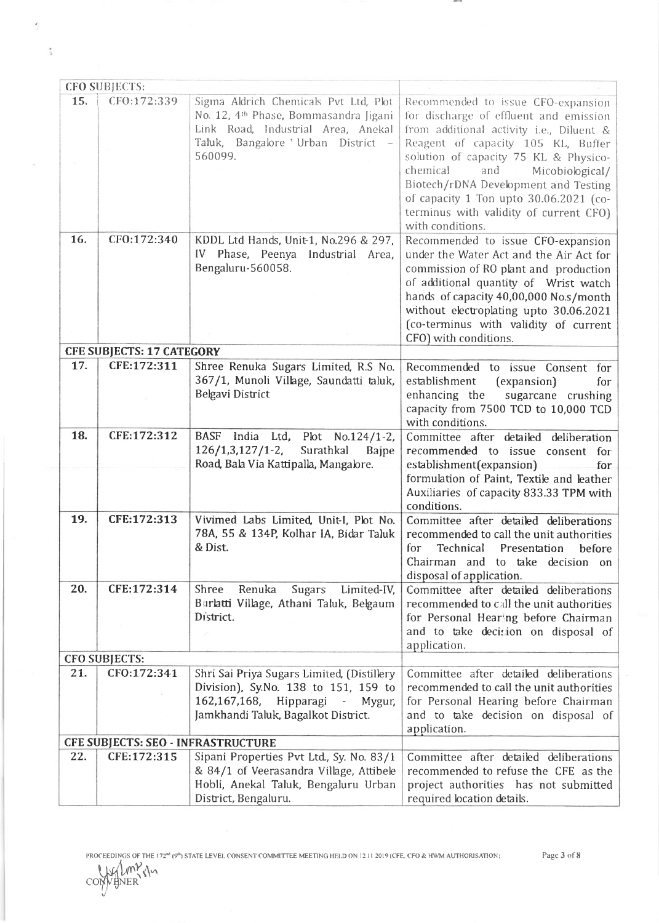|     | <b>CFO SUBJECTS:</b>               |                                                                                                                                                                                  |                                                                                                                                                                                                                                                                                                                                                                           |  |  |
|-----|------------------------------------|----------------------------------------------------------------------------------------------------------------------------------------------------------------------------------|---------------------------------------------------------------------------------------------------------------------------------------------------------------------------------------------------------------------------------------------------------------------------------------------------------------------------------------------------------------------------|--|--|
| 15. | CFO:172:339                        | Sigma Aldrich Chemicals Pvt Ltd, Plot<br>No. 12, 4th Phase, Bommasandra Jigani<br>Link Road, Industrial Area, Anekal<br>Taluk, Bangalore 'Urban District -<br>560099.            | Recommended to issue CFO-expansion<br>for discharge of effluent and emission<br>from additional activity i.e., Diluent &<br>Reagent of capacity 105 KL, Buffer<br>solution of capacity 75 KL & Physico-<br>chemical<br>and<br>Micobiological/<br>Biotech/rDNA Development and Testing<br>of capacity 1 Ton upto 30.06.2021 (co-<br>terminus with validity of current-CFO) |  |  |
| 16. | CFO:172:340                        | KDDL Ltd Hands, Unit-1, No.296 & 297,<br>IV Phase, Peenya Industrial Area,<br>Bengaluru-560058.                                                                                  | with conditions.<br>Recommended to issue CFO-expansion<br>under the Water Act and the Air Act for<br>commission of RO plant and production<br>of additional quantity of Wrist watch<br>hands of capacity 40,00,000 No.s/month<br>without electroplating upto 30.06.2021<br>(co-terminus with validity of current<br>CFO) with conditions.                                 |  |  |
|     | <b>CFE SUBJECTS: 17 CATEGORY</b>   |                                                                                                                                                                                  |                                                                                                                                                                                                                                                                                                                                                                           |  |  |
| 17. | CFE:172:311                        | Shree Renuka Sugars Limited, R.S No.<br>367/1, Munoli Village, Saundatti taluk,<br>Belgavi District                                                                              | Recommended to issue Consent for<br>establishment<br>(expansion)<br>for<br>enhancing the<br>sugarcane crushing<br>capacity from 7500 TCD to 10,000 TCD<br>with conditions.                                                                                                                                                                                                |  |  |
| 18. | CFE:172:312                        | <b>BASF</b><br>India Ltd,<br>Plot No.124/1-2,<br>$126/1,3,127/1-2,$<br>Surathkal<br><b>Bajpe</b><br>Road, Bala Via Kattipalla, Mangalore.                                        | Committee after detailed deliberation<br>recommended to issue consent for<br>establishment(expansion)<br>for<br>formulation of Paint, Textile and leather<br>Auxiliaries of capacity 833.33 TPM with<br>conditions.                                                                                                                                                       |  |  |
| 19. | CFE:172:313                        | Vivimed Labs Limited, Unit-I, Plot No.<br>78A, 55 & 134P, Kolhar IA, Bidar Taluk<br>& Dist.                                                                                      | Committee after detailed deliberations<br>recommended to call the unit authorities<br>for<br>Technical<br>Presentation<br>before<br>Chairman and to take decision on<br>disposal of application.                                                                                                                                                                          |  |  |
| 20. | CFE:172:314                        | Renuka<br>Shree<br>Limited-IV,<br><b>Sugars</b><br>Barlatti Village, Athani Taluk, Belgaum<br>District.<br>SC.                                                                   | Committee after detailed deliberations<br>recommended to call the unit authorities<br>for Personal Hearing before Chairman<br>and to take decision on disposal of<br>application.                                                                                                                                                                                         |  |  |
|     | <b>CFO SUBJECTS:</b>               |                                                                                                                                                                                  |                                                                                                                                                                                                                                                                                                                                                                           |  |  |
| 21. | CF0:172:341                        | Shri Sai Priya Sugars Limited, (Distillery<br>Division), Sy.No. 138 to 151, 159 to<br>162,167,168, Hipparagi<br>$\sim 10^{-11}$<br>Mygur,<br>Jamkhandi Taluk, Bagalkot District. | Committee after detailed deliberations<br>recommended to call the unit authorities<br>for Personal Hearing before Chairman<br>and to take decision on disposal of<br>application.                                                                                                                                                                                         |  |  |
|     | CFE SUBJECTS: SEO - INFRASTRUCTURE |                                                                                                                                                                                  |                                                                                                                                                                                                                                                                                                                                                                           |  |  |
| 22. | CFE:172:315                        | Sipani Properties Pvt Ltd., Sy. No. 83/1<br>& 84/1 of Veerasandra Village, Attibele<br>Hobli, Anekal Taluk, Bengaluru Urban<br>District, Bengaluru.                              | Committee after detailed deliberations<br>recommended to refuse the CFE as the<br>project authorities has not submitted<br>required location details.                                                                                                                                                                                                                     |  |  |

 $-1$ 

PROCEEDINGS OF THE 172<sup>nd</sup> (9<sup>th</sup>) STATE LEVEL CONSENT COMMITTEE MEETING HELD ON 12.11.2019 (CFE, CFO & HWM AUTHORISATION;<br>COMMUNER<br>COMMUNER

 $\frac{1}{4}$ 

Page 3 of 8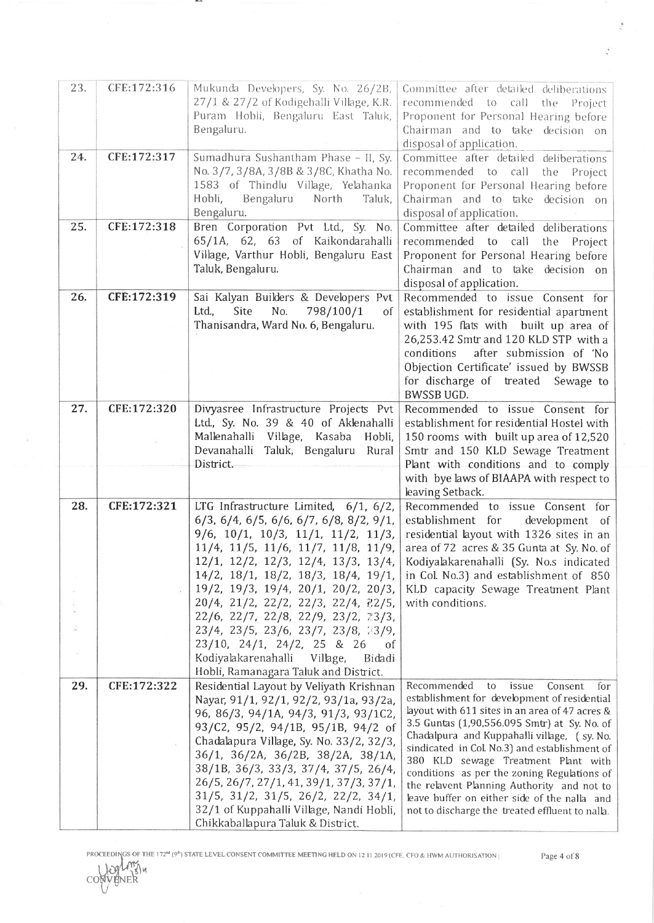| 23. | CFE:172:316 | Mukunda Developers, Sy. No. 26/2B,<br>27/1 & 27/2 of Kodigehalli Village, K.R.<br>Puram Hobli, Bengaluru East Taluk,<br>Bengaluru.                                                                                                                                                                                                                                                                                                                                                                                                                                                                                            | Committee after detailed deliberations<br>recommended to call the Project<br>Proponent for Personal Hearing before<br>Chairman and to take decision on<br>disposal of application.                                                                                                                                                                                                                                                                                                                                                         |
|-----|-------------|-------------------------------------------------------------------------------------------------------------------------------------------------------------------------------------------------------------------------------------------------------------------------------------------------------------------------------------------------------------------------------------------------------------------------------------------------------------------------------------------------------------------------------------------------------------------------------------------------------------------------------|--------------------------------------------------------------------------------------------------------------------------------------------------------------------------------------------------------------------------------------------------------------------------------------------------------------------------------------------------------------------------------------------------------------------------------------------------------------------------------------------------------------------------------------------|
| 24. | CFE:172:317 | Sumadhura Sushantham Phase - II, Sy.<br>No. 3/7, 3/8A, 3/8B & 3/8C, Khatha No.<br>1583 of Thindlu Village, Yelahanka<br>Hobli,<br>Bengaluru<br>North<br>Taluk,<br>Bengaluru.                                                                                                                                                                                                                                                                                                                                                                                                                                                  | Committee after detailed deliberations<br>recommended to call<br>the<br>Project<br>Proponent for Personal Hearing before<br>Chairman and to take decision on<br>disposal of application.                                                                                                                                                                                                                                                                                                                                                   |
| 25. | CFE:172:318 | Bren Corporation Pvt Ltd., Sy. No.<br>65/1A, 62, 63 of Kaikondarahalli<br>Village, Varthur Hobli, Bengaluru East<br>Taluk, Bengaluru.                                                                                                                                                                                                                                                                                                                                                                                                                                                                                         | Committee after detailed deliberations<br>recommended to call the Project<br>Proponent for Personal Hearing before<br>Chairman and to take decision on<br>disposal of application.                                                                                                                                                                                                                                                                                                                                                         |
| 26. | CFE:172:319 | Sai Kalyan Builders & Developers Pvt<br>No.<br>798/100/1<br>Ltd.,<br>Site<br>of<br>Thanisandra, Ward No. 6, Bengaluru.                                                                                                                                                                                                                                                                                                                                                                                                                                                                                                        | Recommended to issue Consent for<br>establishment for residential apartment<br>with 195 flats with built up area of<br>26,253.42 Smtr and 120 KLD STP with a<br>after submission of 'No<br>conditions<br>Objection Certificate' issued by BWSSB<br>for discharge of treated<br>Sewage to<br><b>BWSSB UGD.</b>                                                                                                                                                                                                                              |
| 27. | CFE:172:320 | Divyasree Infrastructure Projects Pvt<br>Ltd., Sy. No. 39 & 40 of Aklenahalli<br>Mallenahalli Village, Kasaba<br>Hobli,<br>Devanahalli Taluk, Bengaluru Rural<br>District.                                                                                                                                                                                                                                                                                                                                                                                                                                                    | Recommended to issue Consent for<br>establishment for residential Hostel with<br>150 rooms with built up area of 12,520<br>Smtr and 150 KLD Sewage Treatment<br>Plant with conditions and to comply<br>with bye laws of BIAAPA with respect to<br>leaving Setback.                                                                                                                                                                                                                                                                         |
| 28. | CFE:172:321 | LTG Infrastructure Limited, $6/1$ , $6/2$ ,<br>$6/3$ , $6/4$ , $6/5$ , $6/6$ , $6/7$ , $6/8$ , $8/2$ , $9/1$ ,<br>$9/6$ , $10/1$ , $10/3$ , $11/1$ , $11/2$ , $11/3$ ,<br>$11/4$ , $11/5$ , $11/6$ , $11/7$ , $11/8$ , $11/9$ ,<br>12/1, 12/2, 12/3, 12/4, 13/3, 13/4,<br>$14/2$ , $18/1$ , $18/2$ , $18/3$ , $18/4$ , $19/1$ ,<br>19/2, 19/3, 19/4, 20/1, 20/2, 20/3,<br>20/4, 21/2, 22/2, 22/3, 22/4, 22/5,<br>22/6, 22/7, 22/8, 22/9, 23/2, 23/3,<br>23/4, 23/5, 23/6, 23/7, 23/8, 23/9,<br>23/10, 24/1, 24/2, 25 & 26<br><sup>of</sup><br>Kodiyalakarenahalli Village,<br>Bidadi<br>Hobli, Ramanagara Taluk and District. | Recommended to issue Consent for<br>establishment for<br>development of<br>residential layout with 1326 sites in an<br>area of 72 acres & 35 Gunta at Sy. No. of<br>Kodiyalakarenahalli (Sy. No.s indicated<br>in Col. No.3) and establishment of 850<br>KLD capacity Sewage Treatment Plant<br>with conditions.                                                                                                                                                                                                                           |
| 29. | CFE:172:322 | Residential Layout by Veliyath Krishnan<br>Nayar, 91/1, 92/1, 92/2, 93/1a, 93/2a,<br>96, 86/3, 94/1A, 94/3, 91/3, 93/1C2,<br>93/C2, 95/2, 94/1B, 95/1B, 94/2 of<br>Chadalapura Village, Sy. No. 33/2, 32/3,<br>36/1, 36/2A, 36/2B, 38/2A, 38/1A,<br>38/1B, 36/3, 33/3, 37/4, 37/5, 26/4,<br>26/5, 26/7, 27/1, 41, 39/1, 37/3, 37/1,<br>$31/5$ , $31/2$ , $31/5$ , $26/2$ , $22/2$ , $34/1$ ,<br>32/1 of Kuppahalli Village, Nandi Hobli,<br>Chikkaballapura Taluk & District.                                                                                                                                                 | Recommended<br>issue<br>to<br>Consent<br>for<br>establishment for development of residential  <br>layout with 611 sites in an area of 47 acres $\&$<br>3.5 Guntas (1,90,556.095 Smtr) at Sy. No. of<br>Chadalpura and Kuppahalli village, (sy. No.<br>sindicated in Col. No.3) and establishment of<br>380 KLD sewage Treatment Plant with<br>conditions as per the zoning Regulations of<br>the relavent Planning Authority and not to<br>leave buffer on either side of the nalla and<br>not to discharge the treated effluent to nalla. |

 $\overline{\phantom{a}}$ 

PROCEEDINGS OF THE 172<sup>nd</sup> (9<sup>th</sup>) STATE LEVEL CONSENT COMMITTEE MEETING HELD ON 12.11 2019 (CFE. CFO & HWM AUTHORISATIO

LLOY U.S.

Page 4 of 8

 $\frac{1}{\lambda}$ 

 $\hat{\boldsymbol{\epsilon}}$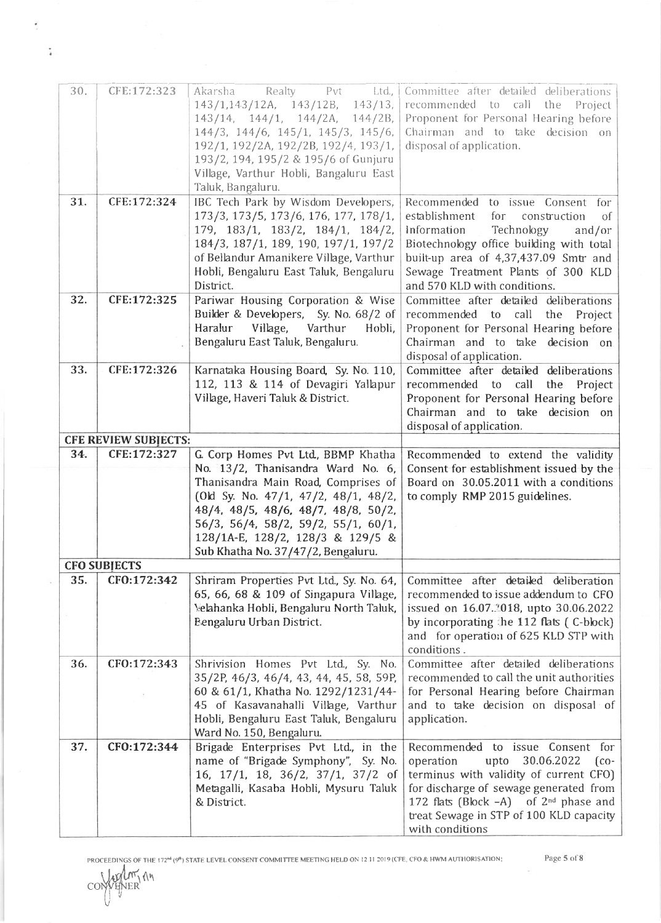| 30. | CFE:172:323                 | Akarsha Realty Pvt<br>Ltd.,                      | Committee after detailed deliberations               |
|-----|-----------------------------|--------------------------------------------------|------------------------------------------------------|
|     |                             | 143/1,143/12A, 143/12B, 143/13,                  | recommended to call the Project                      |
|     |                             | 143/14, 144/1, 144/2A, 144/2B,                   | Proponent for Personal Hearing before                |
|     |                             | 144/3, 144/6, 145/1, 145/3, 145/6,               | Chairman and to take decision on                     |
|     |                             | 192/1, 192/2A, 192/2B, 192/4, 193/1,             | disposal of application.                             |
|     |                             | 193/2, 194, 195/2 & 195/6 of Gunjuru             |                                                      |
|     |                             | Village, Varthur Hobli, Bangaluru East           |                                                      |
|     |                             | Taluk, Bangaluru.                                |                                                      |
| 31. | CFE:172:324                 | IBC Tech Park by Wisdom Developers,              | Recommended to issue Consent for                     |
|     |                             | 173/3, 173/5, 173/6, 176, 177, 178/1,            | establishment<br>for<br>construction<br>οf           |
|     |                             | 179, 183/1, 183/2, 184/1, 184/2,                 | Information<br>Technology<br>and/or                  |
|     |                             | 184/3, 187/1, 189, 190, 197/1, 197/2             | Biotechnology office building with total             |
|     |                             | of Bellandur Amanikere Village, Varthur          | built-up area of 4,37,437.09 Smtr and                |
|     |                             | Hobli, Bengaluru East Taluk, Bengaluru           | Sewage Treatment Plants of 300 KLD                   |
|     |                             | District.                                        | and 570 KLD with conditions.                         |
| 32. | CFE:172:325                 | Pariwar Housing Corporation & Wise               | Committee after detailed deliberations               |
|     |                             | Builder & Developers, Sy. No. 68/2 of            | recommended to call the Project                      |
|     |                             | Haralur<br>Village,<br>Varthur<br>Hobli,         | Proponent for Personal Hearing before                |
|     |                             | Bengaluru East Taluk, Bengaluru.                 | Chairman and to take decision on                     |
|     |                             |                                                  | disposal of application.                             |
| 33. | CFE:172:326                 | Karnataka Housing Board, Sy. No. 110,            | Committee after detailed deliberations               |
|     |                             | 112, 113 & 114 of Devagiri Yallapur              | recommended to call the Project                      |
|     |                             | Village, Haveri Taluk & District.                | Proponent for Personal Hearing before                |
|     |                             |                                                  | Chairman and to take decision on                     |
|     |                             |                                                  | disposal of application.                             |
|     | <b>CFE REVIEW SUBJECTS:</b> |                                                  |                                                      |
| 34. | CFE:172:327                 | G. Corp Homes Pvt Ltd., BBMP Khatha              | Recommended to extend the validity                   |
|     |                             | No. 13/2, Thanisandra Ward No. 6,                | Consent for establishment issued by the              |
|     |                             | Thanisandra Main Road, Comprises of              | Board on 30.05.2011 with a conditions                |
|     |                             | (Old Sy. No. $47/1$ , $47/2$ , $48/1$ , $48/2$ , | to comply RMP 2015 guidelines.                       |
|     |                             | 48/4, 48/5, 48/6, 48/7, 48/8, 50/2,              |                                                      |
|     |                             | 56/3, 56/4, 58/2, 59/2, 55/1, 60/1,              |                                                      |
|     |                             | 128/1A-E, 128/2, 128/3 & 129/5 &                 |                                                      |
|     |                             | Sub Khatha No. 37/47/2, Bengaluru.               |                                                      |
|     | <b>CFO SUBJECTS</b>         |                                                  |                                                      |
| 35. | CFO:172:342                 | Shriram Properties Pvt Ltd., Sy. No. 64,         | Committee after detailed deliberation                |
|     |                             | 65, 66, 68 & 109 of Singapura Village,           | recommended to issue addendum to CFO                 |
|     |                             | Yelahanka Hobli, Bengaluru North Taluk,          | issued on 16.07.2018, upto 30.06.2022                |
|     |                             | Bengaluru Urban District.                        | by incorporating the 112 flats (C-block)             |
|     |                             |                                                  | and for operation of 625 KLD STP with<br>conditions. |
| 36. | CF0:172:343                 | Shrivision Homes Pvt Ltd., Sy. No.               | Committee after detailed deliberations               |
|     |                             | 35/2P, 46/3, 46/4, 43, 44, 45, 58, 59P,          | recommended to call the unit authorities             |
|     |                             | 60 & 61/1, Khatha No. 1292/1231/44-              | for Personal Hearing before Chairman                 |
|     |                             | 45 of Kasavanahalli Village, Varthur             | and to take decision on disposal of                  |
|     |                             | Hobli, Bengaluru East Taluk, Bengaluru           | application.                                         |
|     |                             | Ward No. 150, Bengaluru.                         |                                                      |
| 37. | CFO:172:344                 | Brigade Enterprises Pvt Ltd., in the             | Recommended to issue Consent for                     |
|     |                             | name of "Brigade Symphony", Sy. No.              | 30.06.2022<br>operation<br>upto<br>$\int$ co-        |
|     |                             | 16, 17/1, 18, 36/2, 37/1, 37/2 of                | terminus with validity of current CFO)               |
|     |                             | Metagalli, Kasaba Hobli, Mysuru Taluk            | for discharge of sewage generated from               |
|     |                             | & District.                                      | 172 flats (Block $-A$ ) of $2^{nd}$ phase and        |
|     |                             |                                                  | treat Sewage in STP of 100 KLD capacity              |
|     |                             |                                                  |                                                      |

 $\ddot{i}$ 

i,

U

 $\sim$